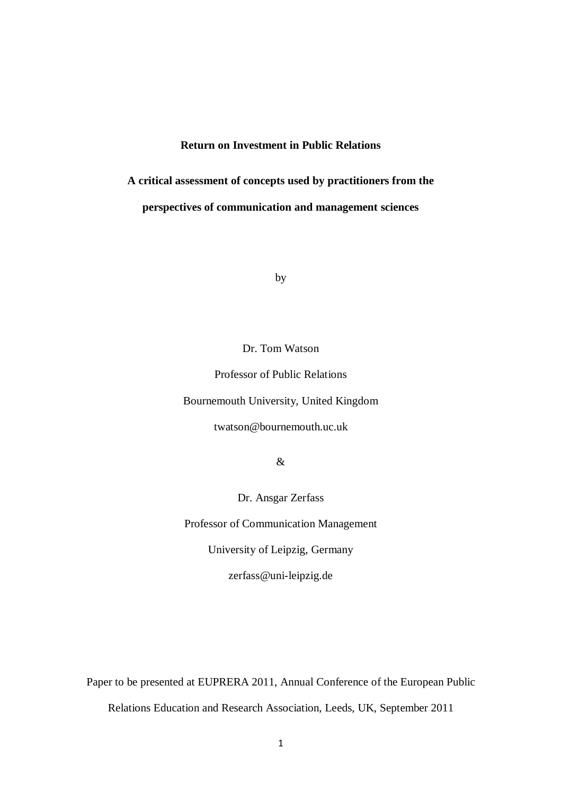# **Return on Investment in Public Relations**

**A critical assessment of concepts used by practitioners from the perspectives of communication and management sciences**

by

Dr. Tom Watson

Professor of Public Relations Bournemouth University, United Kingdom twatson@bournemouth.uc.uk

&

Dr. Ansgar Zerfass

Professor of Communication Management

University of Leipzig, Germany

zerfass@uni-leipzig.de

Paper to be presented at EUPRERA 2011, Annual Conference of the European Public Relations Education and Research Association, Leeds, UK, September 2011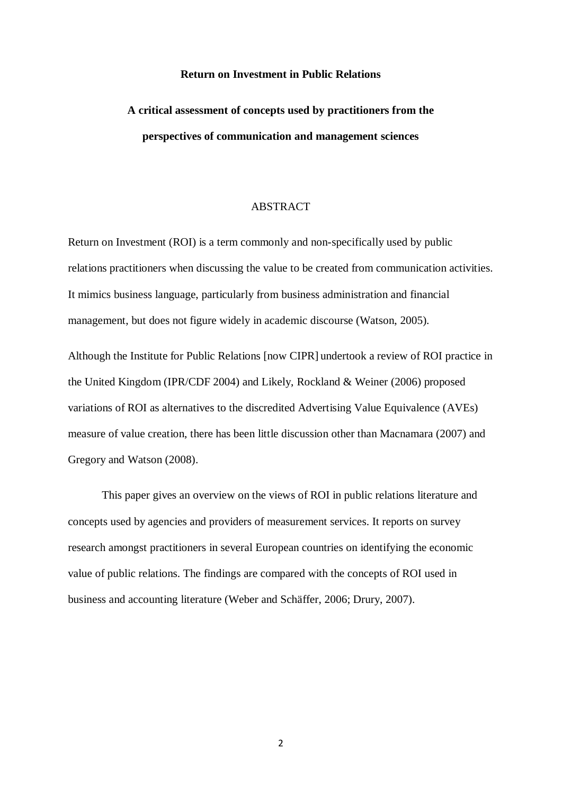#### **Return on Investment in Public Relations**

# **A critical assessment of concepts used by practitioners from the perspectives of communication and management sciences**

# ABSTRACT

Return on Investment (ROI) is a term commonly and non-specifically used by public relations practitioners when discussing the value to be created from communication activities. It mimics business language, particularly from business administration and financial management, but does not figure widely in academic discourse (Watson, 2005).

Although the Institute for Public Relations [now CIPR] undertook a review of ROI practice in the United Kingdom (IPR/CDF 2004) and Likely, Rockland & Weiner (2006) proposed variations of ROI as alternatives to the discredited Advertising Value Equivalence (AVEs) measure of value creation, there has been little discussion other than Macnamara (2007) and Gregory and Watson (2008).

This paper gives an overview on the views of ROI in public relations literature and concepts used by agencies and providers of measurement services. It reports on survey research amongst practitioners in several European countries on identifying the economic value of public relations. The findings are compared with the concepts of ROI used in business and accounting literature (Weber and Schäffer, 2006; Drury, 2007).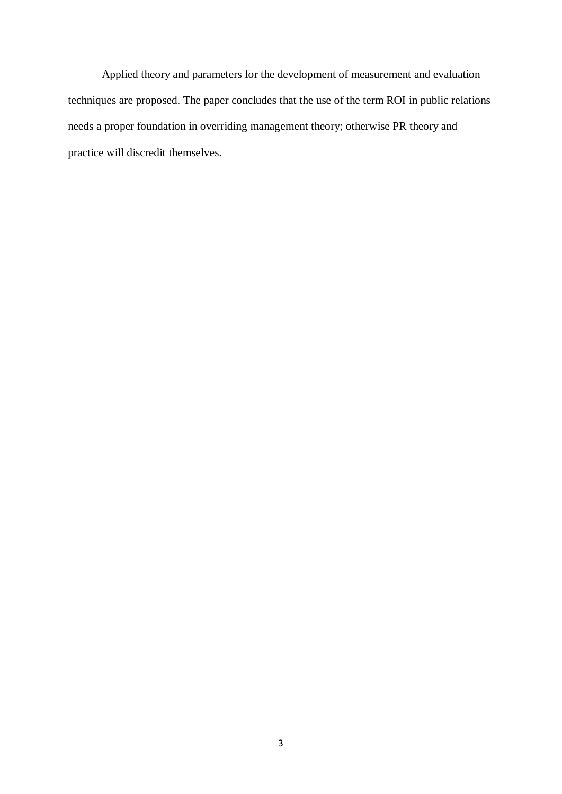Applied theory and parameters for the development of measurement and evaluation techniques are proposed. The paper concludes that the use of the term ROI in public relations needs a proper foundation in overriding management theory; otherwise PR theory and practice will discredit themselves.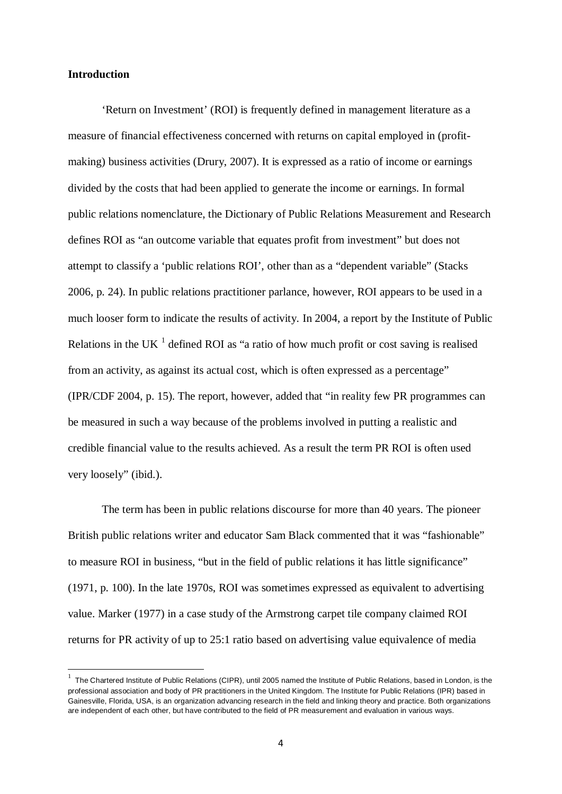# **Introduction**

'Return on Investment' (ROI) is frequently defined in management literature as a measure of financial effectiveness concerned with returns on capital employed in (profitmaking) business activities (Drury, 2007). It is expressed as a ratio of income or earnings divided by the costs that had been applied to generate the income or earnings. In formal public relations nomenclature, the Dictionary of Public Relations Measurement and Research defines ROI as "an outcome variable that equates profit from investment" but does not attempt to classify a 'public relations ROI', other than as a "dependent variable" (Stacks 2006, p. 24). In public relations practitioner parlance, however, ROI appears to be used in a much looser form to indicate the results of activity. In 2004, a report by the Institute of Public Relations in the UK  $<sup>1</sup>$  $<sup>1</sup>$  $<sup>1</sup>$  defined ROI as "a ratio of how much profit or cost saving is realised</sup> from an activity, as against its actual cost, which is often expressed as a percentage" (IPR/CDF 2004, p. 15). The report, however, added that "in reality few PR programmes can be measured in such a way because of the problems involved in putting a realistic and credible financial value to the results achieved. As a result the term PR ROI is often used very loosely" (ibid.).

The term has been in public relations discourse for more than 40 years. The pioneer British public relations writer and educator Sam Black commented that it was "fashionable" to measure ROI in business, "but in the field of public relations it has little significance" (1971, p. 100). In the late 1970s, ROI was sometimes expressed as equivalent to advertising value. Marker (1977) in a case study of the Armstrong carpet tile company claimed ROI returns for PR activity of up to 25:1 ratio based on advertising value equivalence of media

<span id="page-3-0"></span> $\frac{1}{1}$  $1$  The Chartered Institute of Public Relations (CIPR), until 2005 named the Institute of Public Relations, based in London, is the professional association and body of PR practitioners in the United Kingdom. The Institute for Public Relations (IPR) based in Gainesville, Florida, USA, is an organization advancing research in the field and linking theory and practice. Both organizations are independent of each other, but have contributed to the field of PR measurement and evaluation in various ways.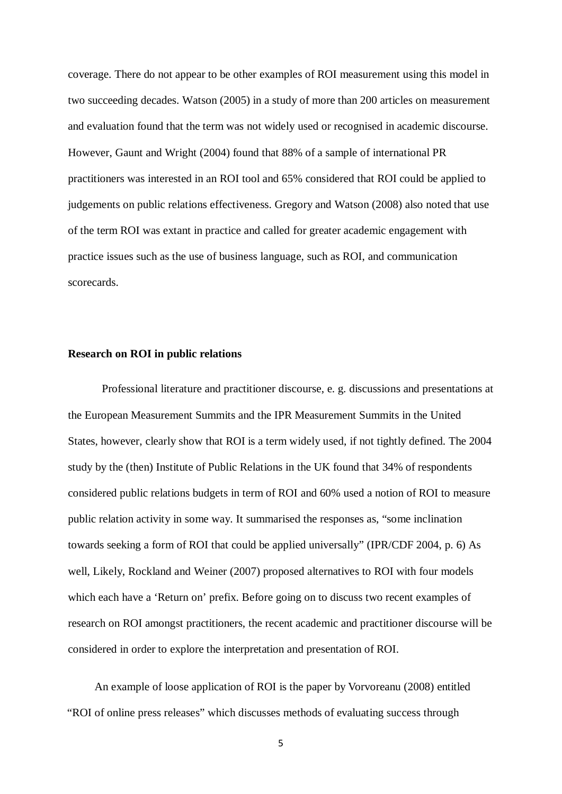coverage. There do not appear to be other examples of ROI measurement using this model in two succeeding decades. Watson (2005) in a study of more than 200 articles on measurement and evaluation found that the term was not widely used or recognised in academic discourse. However, Gaunt and Wright (2004) found that 88% of a sample of international PR practitioners was interested in an ROI tool and 65% considered that ROI could be applied to judgements on public relations effectiveness. Gregory and Watson (2008) also noted that use of the term ROI was extant in practice and called for greater academic engagement with practice issues such as the use of business language, such as ROI, and communication scorecards.

#### **Research on ROI in public relations**

Professional literature and practitioner discourse, e. g. discussions and presentations at the European Measurement Summits and the IPR Measurement Summits in the United States, however, clearly show that ROI is a term widely used, if not tightly defined. The 2004 study by the (then) Institute of Public Relations in the UK found that 34% of respondents considered public relations budgets in term of ROI and 60% used a notion of ROI to measure public relation activity in some way. It summarised the responses as, "some inclination towards seeking a form of ROI that could be applied universally" (IPR/CDF 2004, p. 6) As well, Likely, Rockland and Weiner (2007) proposed alternatives to ROI with four models which each have a 'Return on' prefix. Before going on to discuss two recent examples of research on ROI amongst practitioners, the recent academic and practitioner discourse will be considered in order to explore the interpretation and presentation of ROI.

An example of loose application of ROI is the paper by Vorvoreanu (2008) entitled "ROI of online press releases" which discusses methods of evaluating success through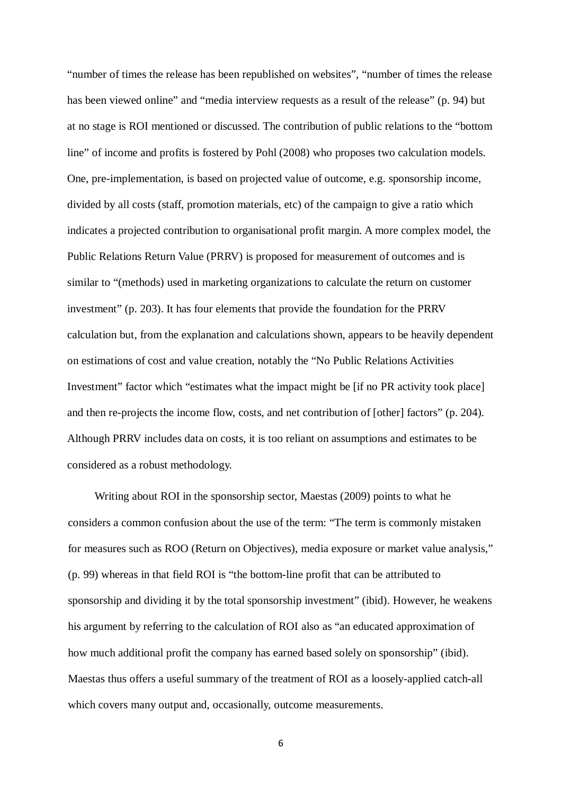"number of times the release has been republished on websites", "number of times the release has been viewed online" and "media interview requests as a result of the release" (p. 94) but at no stage is ROI mentioned or discussed. The contribution of public relations to the "bottom line" of income and profits is fostered by Pohl (2008) who proposes two calculation models. One, pre-implementation, is based on projected value of outcome, e.g. sponsorship income, divided by all costs (staff, promotion materials, etc) of the campaign to give a ratio which indicates a projected contribution to organisational profit margin. A more complex model, the Public Relations Return Value (PRRV) is proposed for measurement of outcomes and is similar to "(methods) used in marketing organizations to calculate the return on customer investment" (p. 203). It has four elements that provide the foundation for the PRRV calculation but, from the explanation and calculations shown, appears to be heavily dependent on estimations of cost and value creation, notably the "No Public Relations Activities Investment" factor which "estimates what the impact might be [if no PR activity took place] and then re-projects the income flow, costs, and net contribution of [other] factors" (p. 204). Although PRRV includes data on costs, it is too reliant on assumptions and estimates to be considered as a robust methodology.

Writing about ROI in the sponsorship sector, Maestas (2009) points to what he considers a common confusion about the use of the term: "The term is commonly mistaken for measures such as ROO (Return on Objectives), media exposure or market value analysis," (p. 99) whereas in that field ROI is "the bottom-line profit that can be attributed to sponsorship and dividing it by the total sponsorship investment" (ibid). However, he weakens his argument by referring to the calculation of ROI also as "an educated approximation of how much additional profit the company has earned based solely on sponsorship" (ibid). Maestas thus offers a useful summary of the treatment of ROI as a loosely-applied catch-all which covers many output and, occasionally, outcome measurements.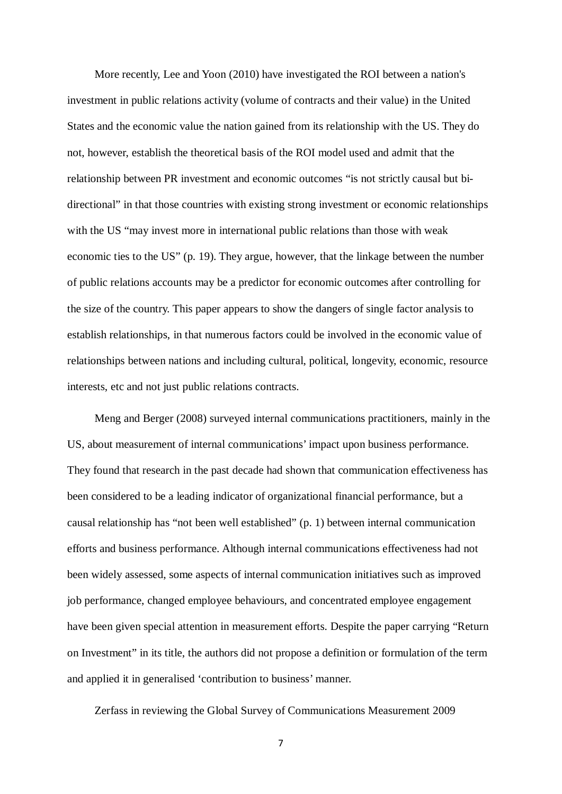More recently, Lee and Yoon (2010) have investigated the ROI between a nation's investment in public relations activity (volume of contracts and their value) in the United States and the economic value the nation gained from its relationship with the US. They do not, however, establish the theoretical basis of the ROI model used and admit that the relationship between PR investment and economic outcomes "is not strictly causal but bidirectional" in that those countries with existing strong investment or economic relationships with the US "may invest more in international public relations than those with weak economic ties to the US" (p. 19). They argue, however, that the linkage between the number of public relations accounts may be a predictor for economic outcomes after controlling for the size of the country. This paper appears to show the dangers of single factor analysis to establish relationships, in that numerous factors could be involved in the economic value of relationships between nations and including cultural, political, longevity, economic, resource interests, etc and not just public relations contracts.

Meng and Berger (2008) surveyed internal communications practitioners, mainly in the US, about measurement of internal communications' impact upon business performance. They found that research in the past decade had shown that communication effectiveness has been considered to be a leading indicator of organizational financial performance, but a causal relationship has "not been well established" (p. 1) between internal communication efforts and business performance. Although internal communications effectiveness had not been widely assessed, some aspects of internal communication initiatives such as improved job performance, changed employee behaviours, and concentrated employee engagement have been given special attention in measurement efforts. Despite the paper carrying "Return on Investment" in its title, the authors did not propose a definition or formulation of the term and applied it in generalised 'contribution to business' manner.

Zerfass in reviewing the Global Survey of Communications Measurement 2009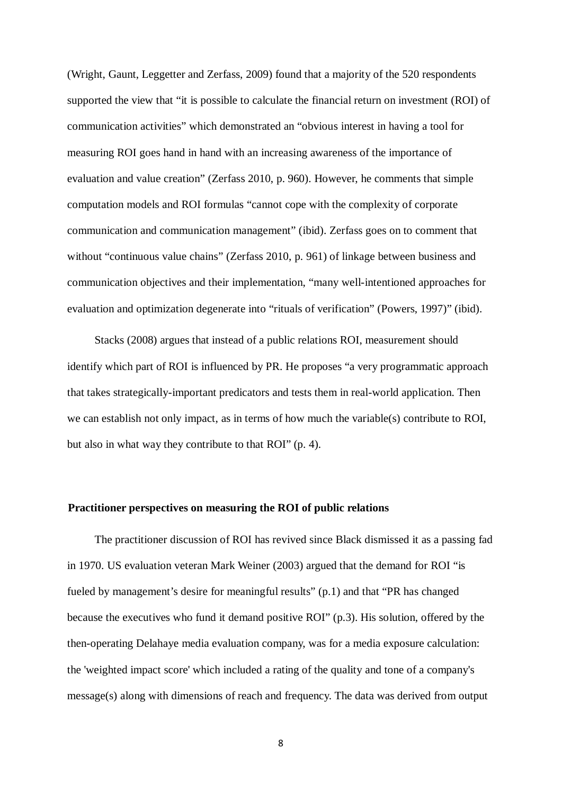(Wright, Gaunt, Leggetter and Zerfass, 2009) found that a majority of the 520 respondents supported the view that "it is possible to calculate the financial return on investment (ROI) of communication activities" which demonstrated an "obvious interest in having a tool for measuring ROI goes hand in hand with an increasing awareness of the importance of evaluation and value creation" (Zerfass 2010, p. 960). However, he comments that simple computation models and ROI formulas "cannot cope with the complexity of corporate communication and communication management" (ibid). Zerfass goes on to comment that without "continuous value chains" (Zerfass 2010, p. 961) of linkage between business and communication objectives and their implementation, "many well-intentioned approaches for evaluation and optimization degenerate into "rituals of verification" (Powers, 1997)" (ibid).

Stacks (2008) argues that instead of a public relations ROI, measurement should identify which part of ROI is influenced by PR. He proposes "a very programmatic approach that takes strategically-important predicators and tests them in real-world application. Then we can establish not only impact, as in terms of how much the variable(s) contribute to ROI, but also in what way they contribute to that ROI" (p. 4).

#### **Practitioner perspectives on measuring the ROI of public relations**

The practitioner discussion of ROI has revived since Black dismissed it as a passing fad in 1970. US evaluation veteran Mark Weiner (2003) argued that the demand for ROI "is fueled by management's desire for meaningful results" (p.1) and that "PR has changed because the executives who fund it demand positive ROI" (p.3). His solution, offered by the then-operating Delahaye media evaluation company, was for a media exposure calculation: the 'weighted impact score' which included a rating of the quality and tone of a company's message(s) along with dimensions of reach and frequency. The data was derived from output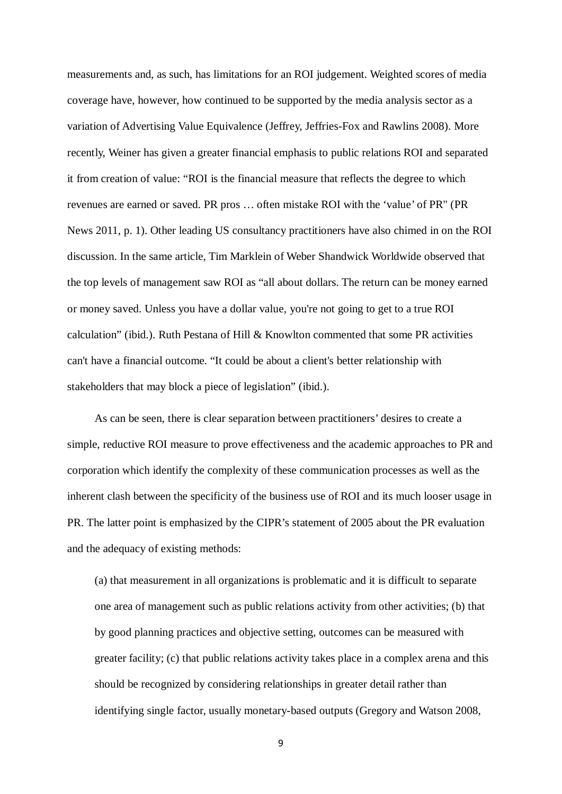measurements and, as such, has limitations for an ROI judgement. Weighted scores of media coverage have, however, how continued to be supported by the media analysis sector as a variation of Advertising Value Equivalence (Jeffrey, Jeffries-Fox and Rawlins 2008). More recently, Weiner has given a greater financial emphasis to public relations ROI and separated it from creation of value: "ROI is the financial measure that reflects the degree to which revenues are earned or saved. PR pros … often mistake ROI with the 'value' of PR" (PR News 2011, p. 1). Other leading US consultancy practitioners have also chimed in on the ROI discussion. In the same article, Tim Marklein of Weber Shandwick Worldwide observed that the top levels of management saw ROI as "all about dollars. The return can be money earned or money saved. Unless you have a dollar value, you're not going to get to a true ROI calculation" (ibid.). Ruth Pestana of Hill & Knowlton commented that some PR activities can't have a financial outcome. "It could be about a client's better relationship with stakeholders that may block a piece of legislation" (ibid.).

As can be seen, there is clear separation between practitioners' desires to create a simple, reductive ROI measure to prove effectiveness and the academic approaches to PR and corporation which identify the complexity of these communication processes as well as the inherent clash between the specificity of the business use of ROI and its much looser usage in PR. The latter point is emphasized by the CIPR's statement of 2005 about the PR evaluation and the adequacy of existing methods:

(a) that measurement in all organizations is problematic and it is difficult to separate one area of management such as public relations activity from other activities; (b) that by good planning practices and objective setting, outcomes can be measured with greater facility; (c) that public relations activity takes place in a complex arena and this should be recognized by considering relationships in greater detail rather than identifying single factor, usually monetary-based outputs (Gregory and Watson 2008,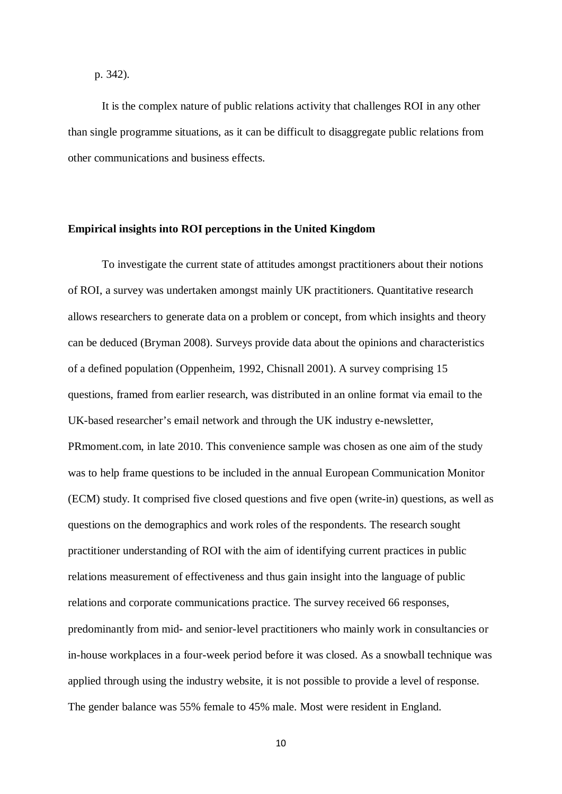## p. 342).

It is the complex nature of public relations activity that challenges ROI in any other than single programme situations, as it can be difficult to disaggregate public relations from other communications and business effects.

## **Empirical insights into ROI perceptions in the United Kingdom**

To investigate the current state of attitudes amongst practitioners about their notions of ROI, a survey was undertaken amongst mainly UK practitioners. Quantitative research allows researchers to generate data on a problem or concept, from which insights and theory can be deduced (Bryman 2008). Surveys provide data about the opinions and characteristics of a defined population (Oppenheim, 1992, Chisnall 2001). A survey comprising 15 questions, framed from earlier research, was distributed in an online format via email to the UK-based researcher's email network and through the UK industry e-newsletter, PRmoment.com, in late 2010. This convenience sample was chosen as one aim of the study was to help frame questions to be included in the annual European Communication Monitor (ECM) study. It comprised five closed questions and five open (write-in) questions, as well as questions on the demographics and work roles of the respondents. The research sought practitioner understanding of ROI with the aim of identifying current practices in public relations measurement of effectiveness and thus gain insight into the language of public relations and corporate communications practice. The survey received 66 responses, predominantly from mid- and senior-level practitioners who mainly work in consultancies or in-house workplaces in a four-week period before it was closed. As a snowball technique was applied through using the industry website, it is not possible to provide a level of response. The gender balance was 55% female to 45% male. Most were resident in England.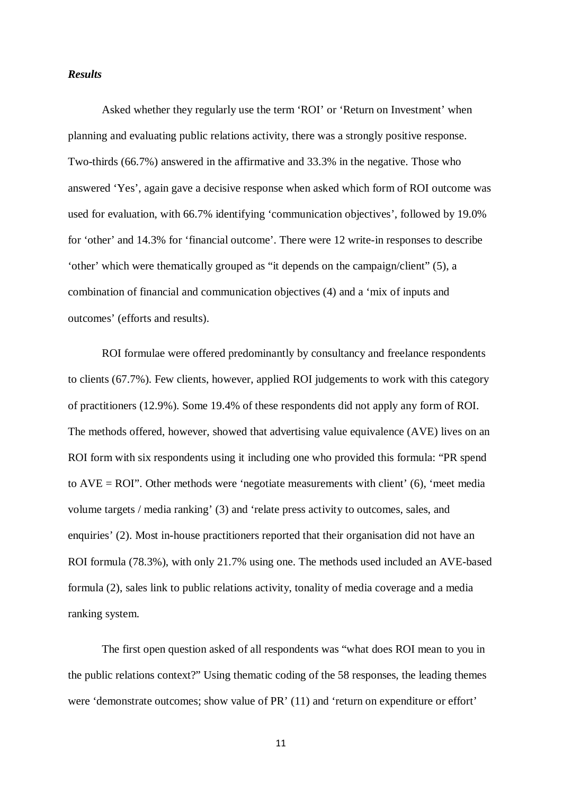# *Results*

Asked whether they regularly use the term 'ROI' or 'Return on Investment' when planning and evaluating public relations activity, there was a strongly positive response. Two-thirds (66.7%) answered in the affirmative and 33.3% in the negative. Those who answered 'Yes', again gave a decisive response when asked which form of ROI outcome was used for evaluation, with 66.7% identifying 'communication objectives', followed by 19.0% for 'other' and 14.3% for 'financial outcome'. There were 12 write-in responses to describe 'other' which were thematically grouped as "it depends on the campaign/client" (5), a combination of financial and communication objectives (4) and a 'mix of inputs and outcomes' (efforts and results).

ROI formulae were offered predominantly by consultancy and freelance respondents to clients (67.7%). Few clients, however, applied ROI judgements to work with this category of practitioners (12.9%). Some 19.4% of these respondents did not apply any form of ROI. The methods offered, however, showed that advertising value equivalence (AVE) lives on an ROI form with six respondents using it including one who provided this formula: "PR spend to  $AVE = ROI$ ". Other methods were 'negotiate measurements with client' (6), 'meet media volume targets / media ranking' (3) and 'relate press activity to outcomes, sales, and enquiries' (2). Most in-house practitioners reported that their organisation did not have an ROI formula (78.3%), with only 21.7% using one. The methods used included an AVE-based formula (2), sales link to public relations activity, tonality of media coverage and a media ranking system.

The first open question asked of all respondents was "what does ROI mean to you in the public relations context?" Using thematic coding of the 58 responses, the leading themes were 'demonstrate outcomes; show value of PR' (11) and 'return on expenditure or effort'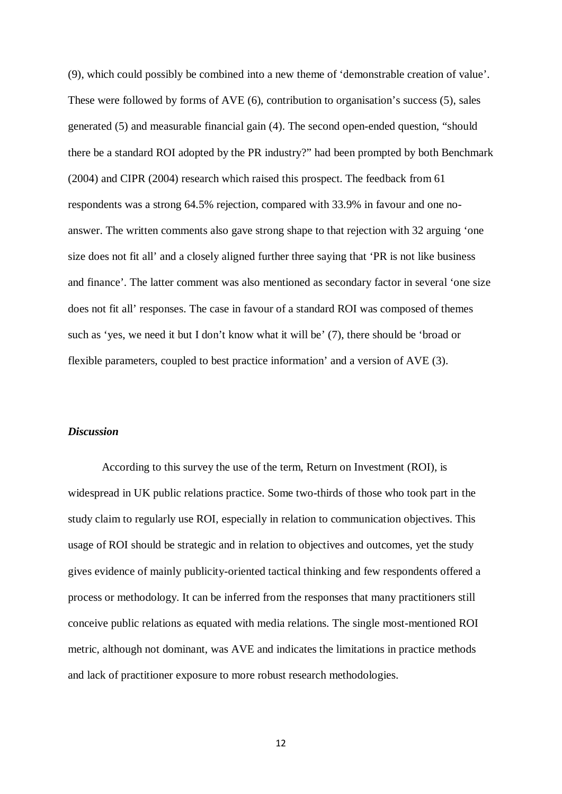(9), which could possibly be combined into a new theme of 'demonstrable creation of value'. These were followed by forms of AVE (6), contribution to organisation's success (5), sales generated (5) and measurable financial gain (4). The second open-ended question, "should there be a standard ROI adopted by the PR industry?" had been prompted by both Benchmark (2004) and CIPR (2004) research which raised this prospect. The feedback from 61 respondents was a strong 64.5% rejection, compared with 33.9% in favour and one noanswer. The written comments also gave strong shape to that rejection with 32 arguing 'one size does not fit all' and a closely aligned further three saying that 'PR is not like business and finance'. The latter comment was also mentioned as secondary factor in several 'one size does not fit all' responses. The case in favour of a standard ROI was composed of themes such as 'yes, we need it but I don't know what it will be' (7), there should be 'broad or flexible parameters, coupled to best practice information' and a version of AVE (3).

# *Discussion*

According to this survey the use of the term, Return on Investment (ROI), is widespread in UK public relations practice. Some two-thirds of those who took part in the study claim to regularly use ROI, especially in relation to communication objectives. This usage of ROI should be strategic and in relation to objectives and outcomes, yet the study gives evidence of mainly publicity-oriented tactical thinking and few respondents offered a process or methodology. It can be inferred from the responses that many practitioners still conceive public relations as equated with media relations. The single most-mentioned ROI metric, although not dominant, was AVE and indicates the limitations in practice methods and lack of practitioner exposure to more robust research methodologies.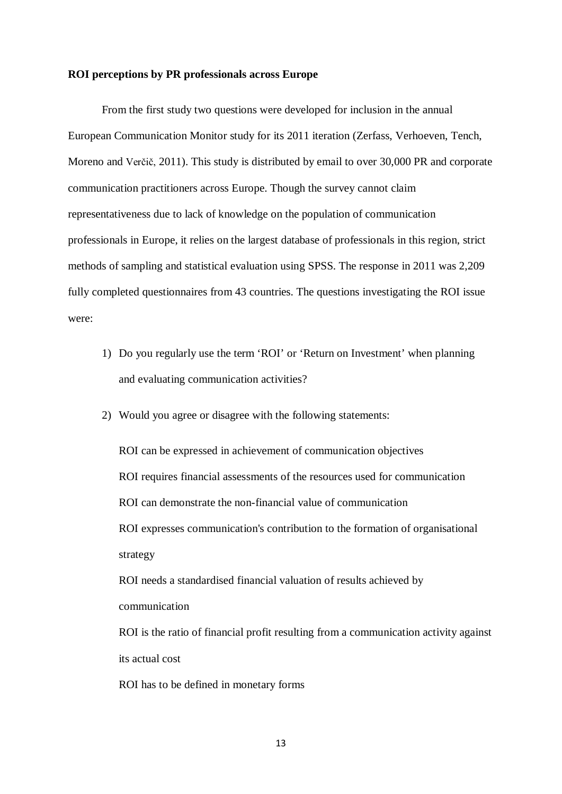#### **ROI perceptions by PR professionals across Europe**

From the first study two questions were developed for inclusion in the annual European Communication Monitor study for its 2011 iteration (Zerfass, Verhoeven, Tench, Moreno and Verčič, 2011). This study is distributed by email to over 30,000 PR and corporate communication practitioners across Europe. Though the survey cannot claim representativeness due to lack of knowledge on the population of communication professionals in Europe, it relies on the largest database of professionals in this region, strict methods of sampling and statistical evaluation using SPSS. The response in 2011 was 2,209 fully completed questionnaires from 43 countries. The questions investigating the ROI issue were:

- 1) Do you regularly use the term 'ROI' or 'Return on Investment' when planning and evaluating communication activities?
- 2) Would you agree or disagree with the following statements:

ROI can be expressed in achievement of communication objectives ROI requires financial assessments of the resources used for communication ROI can demonstrate the non-financial value of communication ROI expresses communication's contribution to the formation of organisational strategy

ROI needs a standardised financial valuation of results achieved by communication

ROI is the ratio of financial profit resulting from a communication activity against its actual cost

ROI has to be defined in monetary forms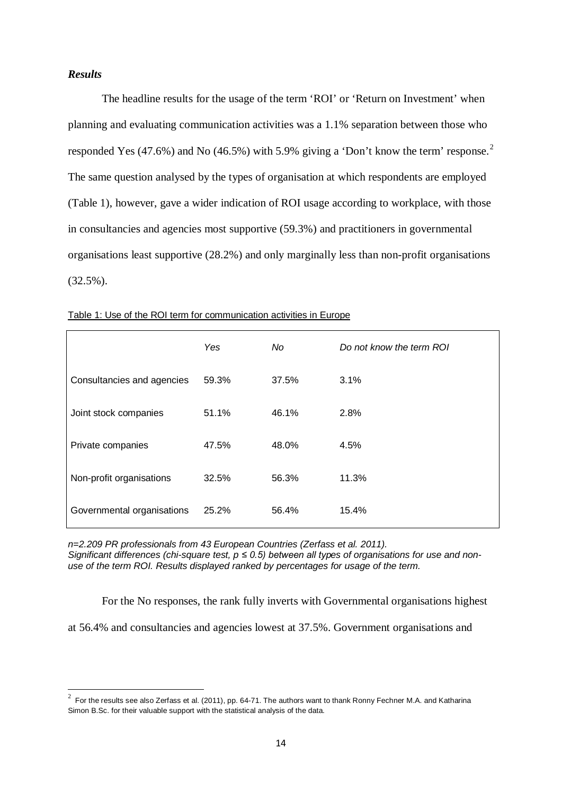# *Results*

The headline results for the usage of the term 'ROI' or 'Return on Investment' when planning and evaluating communication activities was a 1.1% separation between those who responded Yes (47.6%) and No (46.5%) with 5.9% giving a 'Don't know the term' response.<sup>[2](#page-13-0)</sup> The same question analysed by the types of organisation at which respondents are employed (Table 1), however, gave a wider indication of ROI usage according to workplace, with those in consultancies and agencies most supportive (59.3%) and practitioners in governmental organisations least supportive (28.2%) and only marginally less than non-profit organisations (32.5%).

|                            | Yes   | No    | Do not know the term ROI |
|----------------------------|-------|-------|--------------------------|
| Consultancies and agencies | 59.3% | 37.5% | 3.1%                     |
| Joint stock companies      | 51.1% | 46.1% | 2.8%                     |
| Private companies          | 47.5% | 48.0% | 4.5%                     |
| Non-profit organisations   | 32.5% | 56.3% | 11.3%                    |
| Governmental organisations | 25.2% | 56.4% | 15.4%                    |

Table 1: Use of the ROI term for communication activities in Europe

*n=2.209 PR professionals from 43 European Countries (Zerfass et al. 2011). Significant differences (chi-square test, p ≤ 0.5) between all types of organisations for use and nonuse of the term ROI. Results displayed ranked by percentages for usage of the term.*

For the No responses, the rank fully inverts with Governmental organisations highest

at 56.4% and consultancies and agencies lowest at 37.5%. Government organisations and

<span id="page-13-0"></span> $\frac{1}{2}$  $2\,$  For the results see also Zerfass et al. (2011), pp. 64-71. The authors want to thank Ronny Fechner M.A. and Katharina Simon B.Sc. for their valuable support with the statistical analysis of the data.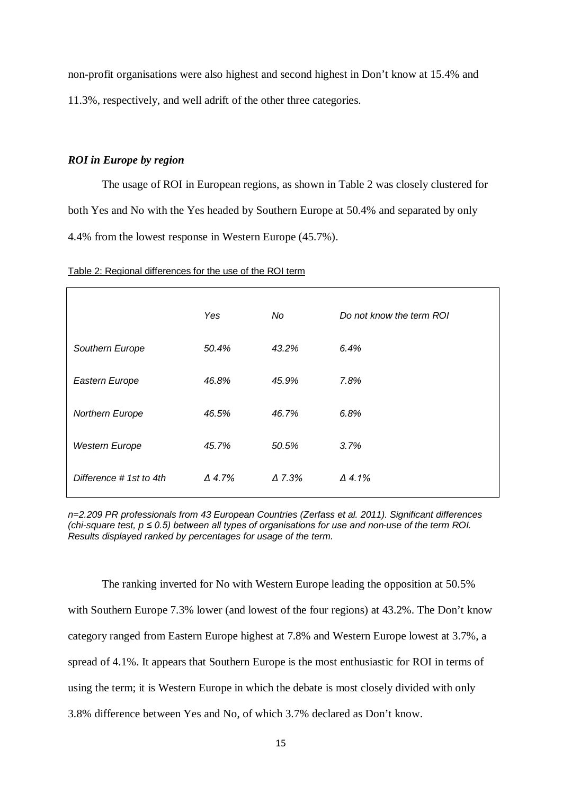non-profit organisations were also highest and second highest in Don't know at 15.4% and 11.3%, respectively, and well adrift of the other three categories.

# *ROI in Europe by region*

The usage of ROI in European regions, as shown in Table 2 was closely clustered for both Yes and No with the Yes headed by Southern Europe at 50.4% and separated by only 4.4% from the lowest response in Western Europe (45.7%).

| Table 2: Regional differences for the use of the ROI term |
|-----------------------------------------------------------|
|-----------------------------------------------------------|

|                        | Yes           | No            | Do not know the term ROI |
|------------------------|---------------|---------------|--------------------------|
| Southern Europe        | 50.4%         | 43.2%         | 6.4%                     |
| Eastern Europe         | 46.8%         | 45.9%         | 7.8%                     |
| Northern Europe        | 46.5%         | 46.7%         | 6.8%                     |
| <b>Western Europe</b>  | 45.7%         | 50.5%         | 3.7%                     |
| Difference #1st to 4th | $\Delta$ 4.7% | $\Delta$ 7.3% | $\Delta$ 4.1%            |

*n=2.209 PR professionals from 43 European Countries (Zerfass et al. 2011). Significant differences (chi-square test, p ≤ 0.5) between all types of organisations for use and non-use of the term ROI. Results displayed ranked by percentages for usage of the term.*

The ranking inverted for No with Western Europe leading the opposition at 50.5% with Southern Europe 7.3% lower (and lowest of the four regions) at 43.2%. The Don't know category ranged from Eastern Europe highest at 7.8% and Western Europe lowest at 3.7%, a spread of 4.1%. It appears that Southern Europe is the most enthusiastic for ROI in terms of using the term; it is Western Europe in which the debate is most closely divided with only 3.8% difference between Yes and No, of which 3.7% declared as Don't know.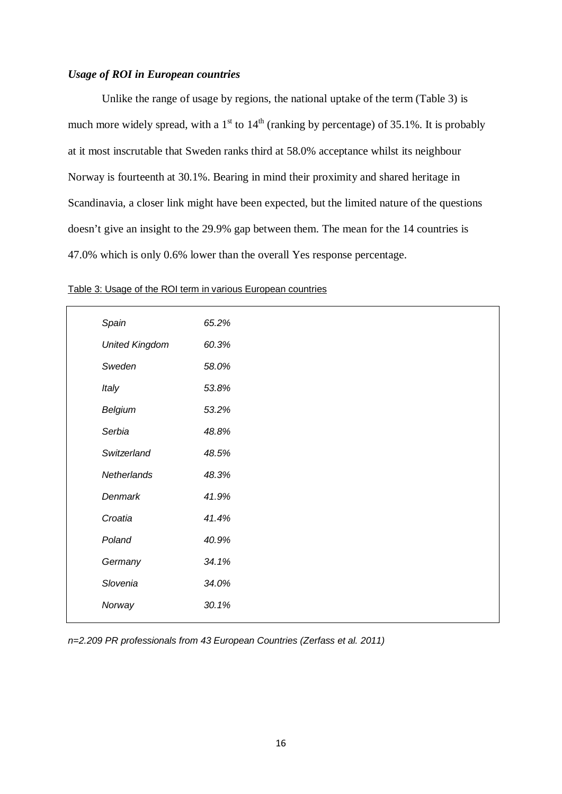# *Usage of ROI in European countries*

Unlike the range of usage by regions, the national uptake of the term (Table 3) is much more widely spread, with a  $1<sup>st</sup>$  to  $14<sup>th</sup>$  (ranking by percentage) of 35.1%. It is probably at it most inscrutable that Sweden ranks third at 58.0% acceptance whilst its neighbour Norway is fourteenth at 30.1%. Bearing in mind their proximity and shared heritage in Scandinavia, a closer link might have been expected, but the limited nature of the questions doesn't give an insight to the 29.9% gap between them. The mean for the 14 countries is 47.0% which is only 0.6% lower than the overall Yes response percentage.

| Spain                 | 65.2% |  |  |
|-----------------------|-------|--|--|
| <b>United Kingdom</b> | 60.3% |  |  |
| Sweden                | 58.0% |  |  |
| Italy                 | 53.8% |  |  |
| Belgium               | 53.2% |  |  |
| Serbia                | 48.8% |  |  |
| Switzerland           | 48.5% |  |  |
| Netherlands           | 48.3% |  |  |
| Denmark               | 41.9% |  |  |
| Croatia               | 41.4% |  |  |
| Poland                | 40.9% |  |  |
| Germany               | 34.1% |  |  |
| Slovenia              | 34.0% |  |  |
| Norway                | 30.1% |  |  |
|                       |       |  |  |

#### Table 3: Usage of the ROI term in various European countries

*n=2.209 PR professionals from 43 European Countries (Zerfass et al. 2011)*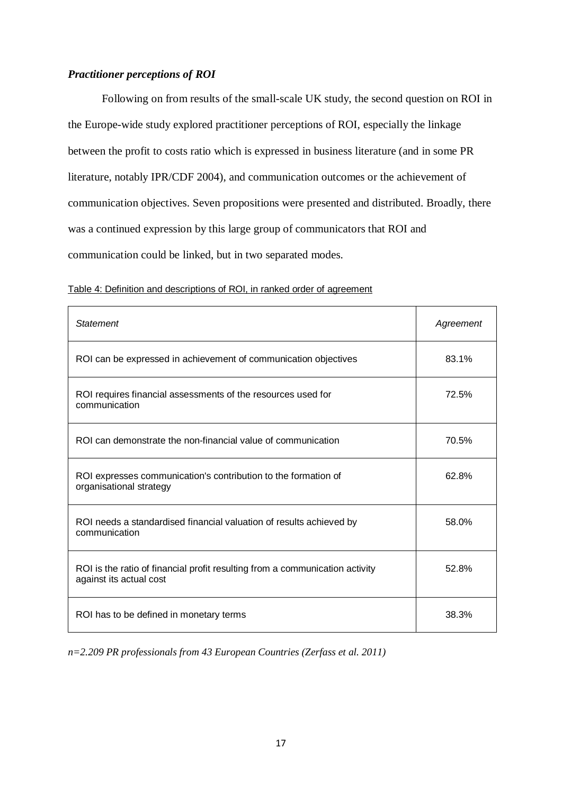# *Practitioner perceptions of ROI*

Following on from results of the small-scale UK study, the second question on ROI in the Europe-wide study explored practitioner perceptions of ROI, especially the linkage between the profit to costs ratio which is expressed in business literature (and in some PR literature, notably IPR/CDF 2004), and communication outcomes or the achievement of communication objectives. Seven propositions were presented and distributed. Broadly, there was a continued expression by this large group of communicators that ROI and communication could be linked, but in two separated modes.

| <b>Statement</b>                                                                                        | Agreement |
|---------------------------------------------------------------------------------------------------------|-----------|
| ROI can be expressed in achievement of communication objectives                                         | 83.1%     |
| ROI requires financial assessments of the resources used for<br>communication                           | 72.5%     |
| ROI can demonstrate the non-financial value of communication                                            | 70.5%     |
| ROI expresses communication's contribution to the formation of<br>organisational strategy               | 62.8%     |
| ROI needs a standardised financial valuation of results achieved by<br>communication                    | 58.0%     |
| ROI is the ratio of financial profit resulting from a communication activity<br>against its actual cost | 52.8%     |
| ROI has to be defined in monetary terms                                                                 | 38.3%     |

Table 4: Definition and descriptions of ROI, in ranked order of agreemen t

*n=2.209 PR professionals from 43 European Countries (Zerfass et al. 2011)*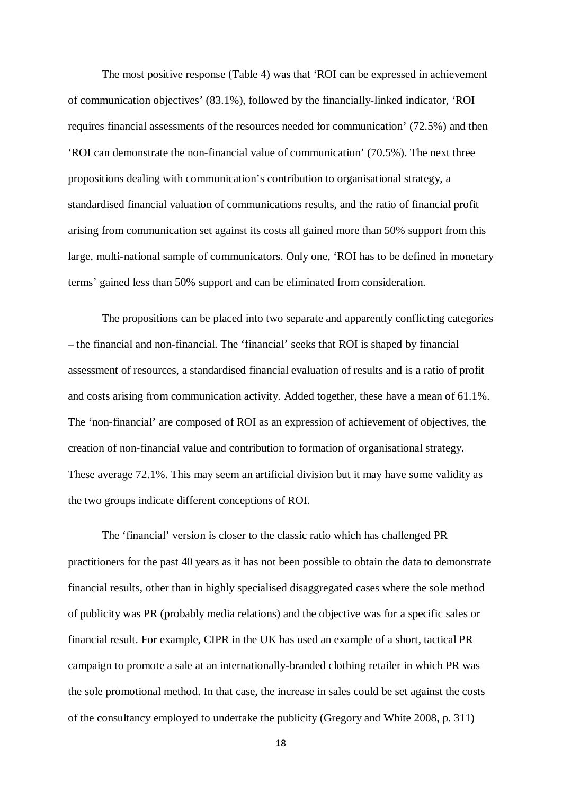The most positive response (Table 4) was that 'ROI can be expressed in achievement of communication objectives' (83.1%), followed by the financially-linked indicator, 'ROI requires financial assessments of the resources needed for communication' (72.5%) and then 'ROI can demonstrate the non-financial value of communication' (70.5%). The next three propositions dealing with communication's contribution to organisational strategy, a standardised financial valuation of communications results, and the ratio of financial profit arising from communication set against its costs all gained more than 50% support from this large, multi-national sample of communicators. Only one, 'ROI has to be defined in monetary terms' gained less than 50% support and can be eliminated from consideration.

The propositions can be placed into two separate and apparently conflicting categories – the financial and non-financial. The 'financial' seeks that ROI is shaped by financial assessment of resources, a standardised financial evaluation of results and is a ratio of profit and costs arising from communication activity. Added together, these have a mean of 61.1%. The 'non-financial' are composed of ROI as an expression of achievement of objectives, the creation of non-financial value and contribution to formation of organisational strategy. These average 72.1%. This may seem an artificial division but it may have some validity as the two groups indicate different conceptions of ROI.

The 'financial' version is closer to the classic ratio which has challenged PR practitioners for the past 40 years as it has not been possible to obtain the data to demonstrate financial results, other than in highly specialised disaggregated cases where the sole method of publicity was PR (probably media relations) and the objective was for a specific sales or financial result. For example, CIPR in the UK has used an example of a short, tactical PR campaign to promote a sale at an internationally-branded clothing retailer in which PR was the sole promotional method. In that case, the increase in sales could be set against the costs of the consultancy employed to undertake the publicity (Gregory and White 2008, p. 311)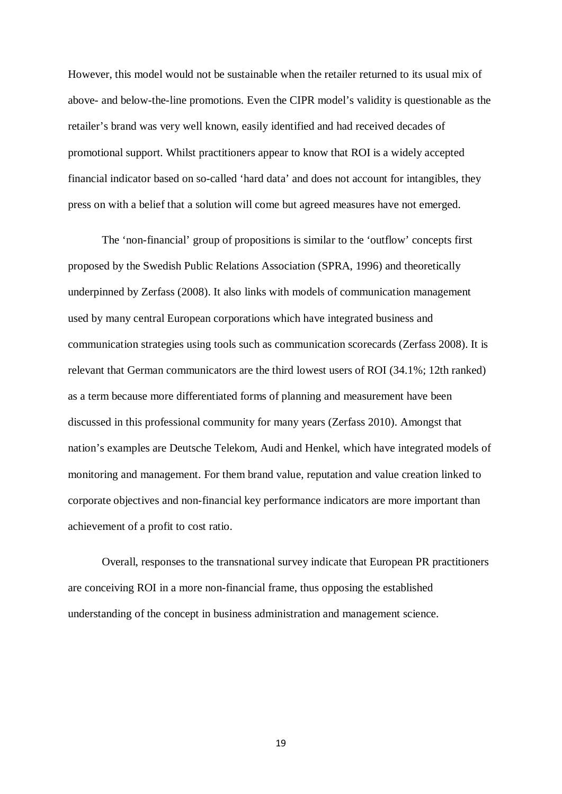However, this model would not be sustainable when the retailer returned to its usual mix of above- and below-the-line promotions. Even the CIPR model's validity is questionable as the retailer's brand was very well known, easily identified and had received decades of promotional support. Whilst practitioners appear to know that ROI is a widely accepted financial indicator based on so-called 'hard data' and does not account for intangibles, they press on with a belief that a solution will come but agreed measures have not emerged.

The 'non-financial' group of propositions is similar to the 'outflow' concepts first proposed by the Swedish Public Relations Association (SPRA, 1996) and theoretically underpinned by Zerfass (2008). It also links with models of communication management used by many central European corporations which have integrated business and communication strategies using tools such as communication scorecards (Zerfass 2008). It is relevant that German communicators are the third lowest users of ROI (34.1%; 12th ranked) as a term because more differentiated forms of planning and measurement have been discussed in this professional community for many years (Zerfass 2010). Amongst that nation's examples are Deutsche Telekom, Audi and Henkel, which have integrated models of monitoring and management. For them brand value, reputation and value creation linked to corporate objectives and non-financial key performance indicators are more important than achievement of a profit to cost ratio.

Overall, responses to the transnational survey indicate that European PR practitioners are conceiving ROI in a more non-financial frame, thus opposing the established understanding of the concept in business administration and management science.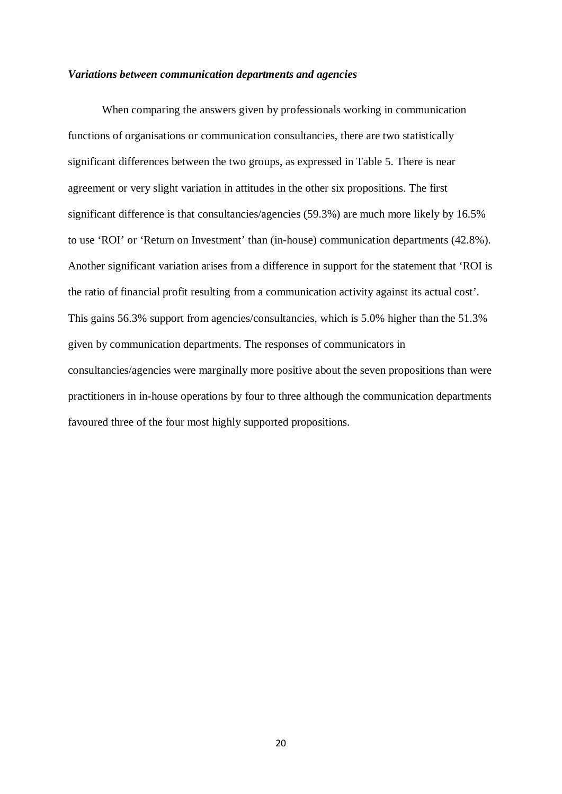#### *Variations between communication departments and agencies*

When comparing the answers given by professionals working in communication functions of organisations or communication consultancies, there are two statistically significant differences between the two groups, as expressed in Table 5. There is near agreement or very slight variation in attitudes in the other six propositions. The first significant difference is that consultancies/agencies (59.3%) are much more likely by 16.5% to use 'ROI' or 'Return on Investment' than (in-house) communication departments (42.8%). Another significant variation arises from a difference in support for the statement that 'ROI is the ratio of financial profit resulting from a communication activity against its actual cost'. This gains 56.3% support from agencies/consultancies, which is 5.0% higher than the 51.3% given by communication departments. The responses of communicators in consultancies/agencies were marginally more positive about the seven propositions than were practitioners in in-house operations by four to three although the communication departments favoured three of the four most highly supported propositions.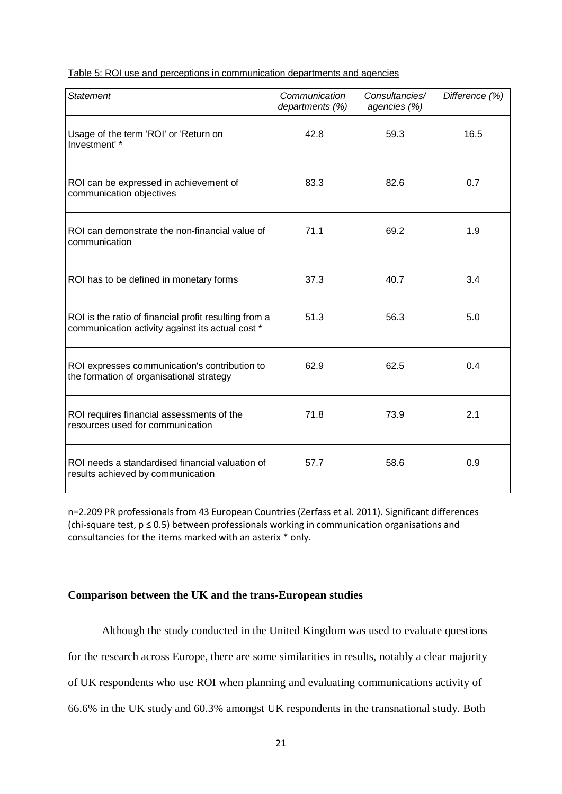# Table 5: ROI use and perceptions in communication departments and agencie s

| <b>Statement</b>                                                                                          | Communication<br>departments (%) | Consultancies/<br>agencies (%) | Difference (%) |
|-----------------------------------------------------------------------------------------------------------|----------------------------------|--------------------------------|----------------|
| Usage of the term 'ROI' or 'Return on<br>Investment' *                                                    | 42.8                             | 59.3                           | 16.5           |
| ROI can be expressed in achievement of<br>communication objectives                                        | 83.3                             | 82.6                           | 0.7            |
| ROI can demonstrate the non-financial value of<br>communication                                           | 71.1                             | 69.2                           | 1.9            |
| ROI has to be defined in monetary forms                                                                   | 37.3                             | 40.7                           | 3.4            |
| ROI is the ratio of financial profit resulting from a<br>communication activity against its actual cost * | 51.3                             | 56.3                           | 5.0            |
| ROI expresses communication's contribution to<br>the formation of organisational strategy                 | 62.9                             | 62.5                           | 0.4            |
| ROI requires financial assessments of the<br>resources used for communication                             | 71.8                             | 73.9                           | 2.1            |
| ROI needs a standardised financial valuation of<br>results achieved by communication                      | 57.7                             | 58.6                           | 0.9            |

n=2.209 PR professionals from 43 European Countries (Zerfass et al. 2011). Significant differences (chi-square test, p ≤ 0.5) between professionals working in communication organisations and consultancies for the items marked with an asterix \* only.

# **Comparison between the UK and the trans-European studies**

Although the study conducted in the United Kingdom was used to evaluate questions for the research across Europe, there are some similarities in results, notably a clear majority of UK respondents who use ROI when planning and evaluating communications activity of 66.6% in the UK study and 60.3% amongst UK respondents in the transnational study. Both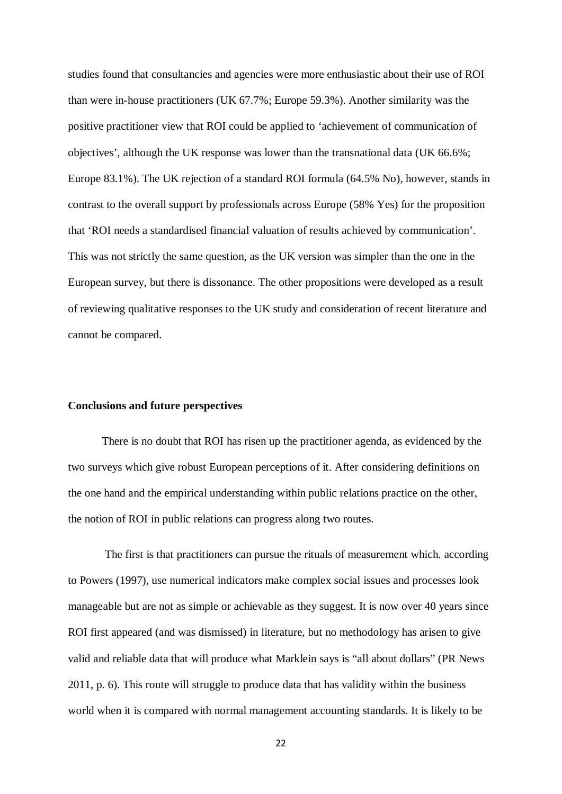studies found that consultancies and agencies were more enthusiastic about their use of ROI than were in-house practitioners (UK 67.7%; Europe 59.3%). Another similarity was the positive practitioner view that ROI could be applied to 'achievement of communication of objectives', although the UK response was lower than the transnational data (UK 66.6%; Europe 83.1%). The UK rejection of a standard ROI formula (64.5% No), however, stands in contrast to the overall support by professionals across Europe (58% Yes) for the proposition that 'ROI needs a standardised financial valuation of results achieved by communication'. This was not strictly the same question, as the UK version was simpler than the one in the European survey, but there is dissonance. The other propositions were developed as a result of reviewing qualitative responses to the UK study and consideration of recent literature and cannot be compared.

#### **Conclusions and future perspectives**

There is no doubt that ROI has risen up the practitioner agenda, as evidenced by the two surveys which give robust European perceptions of it. After considering definitions on the one hand and the empirical understanding within public relations practice on the other, the notion of ROI in public relations can progress along two routes.

The first is that practitioners can pursue the rituals of measurement which. according to Powers (1997), use numerical indicators make complex social issues and processes look manageable but are not as simple or achievable as they suggest. It is now over 40 years since ROI first appeared (and was dismissed) in literature, but no methodology has arisen to give valid and reliable data that will produce what Marklein says is "all about dollars" (PR News 2011, p. 6). This route will struggle to produce data that has validity within the business world when it is compared with normal management accounting standards. It is likely to be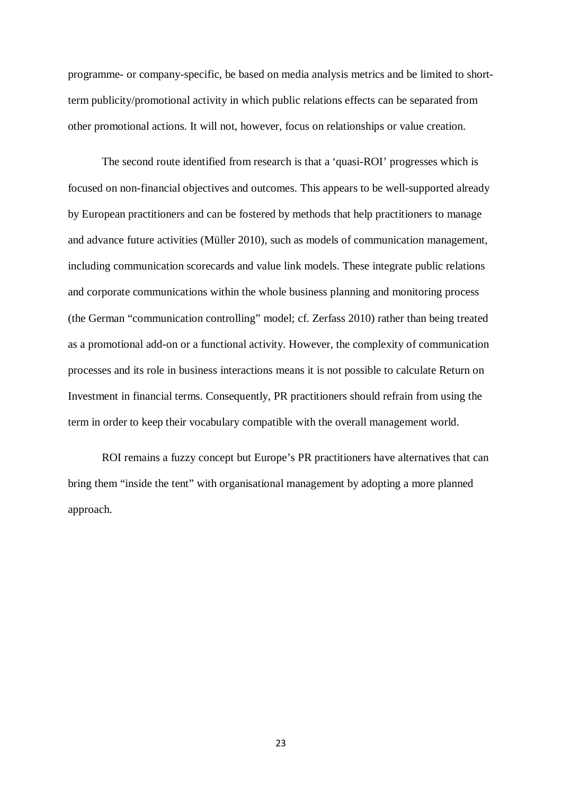programme- or company-specific, be based on media analysis metrics and be limited to shortterm publicity/promotional activity in which public relations effects can be separated from other promotional actions. It will not, however, focus on relationships or value creation.

The second route identified from research is that a 'quasi-ROI' progresses which is focused on non-financial objectives and outcomes. This appears to be well-supported already by European practitioners and can be fostered by methods that help practitioners to manage and advance future activities (Müller 2010), such as models of communication management, including communication scorecards and value link models. These integrate public relations and corporate communications within the whole business planning and monitoring process (the German "communication controlling" model; cf. Zerfass 2010) rather than being treated as a promotional add-on or a functional activity. However, the complexity of communication processes and its role in business interactions means it is not possible to calculate Return on Investment in financial terms. Consequently, PR practitioners should refrain from using the term in order to keep their vocabulary compatible with the overall management world.

ROI remains a fuzzy concept but Europe's PR practitioners have alternatives that can bring them "inside the tent" with organisational management by adopting a more planned approach.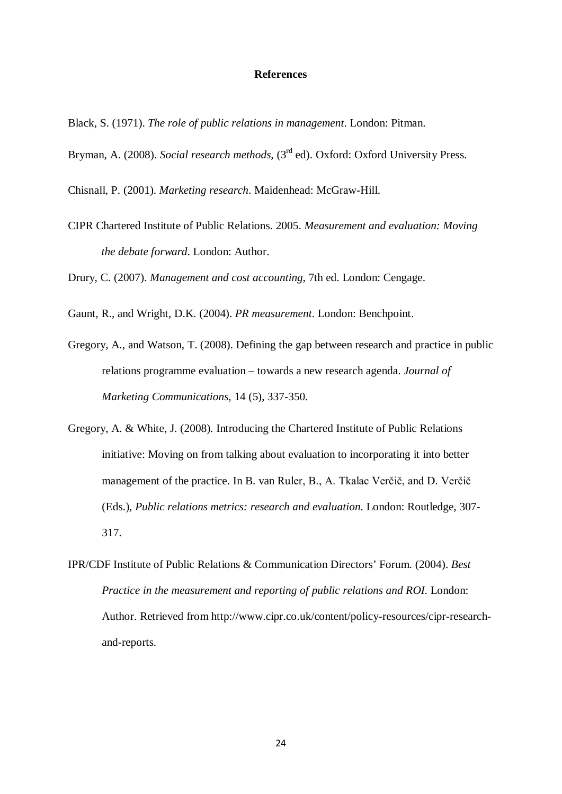#### **References**

- Black, S. (1971). *The role of public relations in management*. London: Pitman.
- Bryman, A. (2008). *Social research methods*, (3<sup>rd</sup> ed). Oxford: Oxford University Press.
- Chisnall, P. (2001). *Marketing research*. Maidenhead: McGraw-Hill.
- CIPR Chartered Institute of Public Relations. 2005. *Measurement and evaluation: Moving the debate forward*. London: Author.

Drury, C. (2007). *Management and cost accounting,* 7th ed. London: Cengage.

- Gaunt, R., and Wright, D.K. (2004). *PR measurement*. London: Benchpoint.
- Gregory, A., and Watson, T. (2008). Defining the gap between research and practice in public relations programme evaluation – towards a new research agenda. *Journal of Marketing Communications,* 14 (5), 337-350.
- Gregory, A. & White, J. (2008). Introducing the Chartered Institute of Public Relations initiative: Moving on from talking about evaluation to incorporating it into better management of the practice. In B. van Ruler, B., A. Tkalac Verčič, and D. Verčič (Eds.), *Public relations metrics: research and evaluation*. London: Routledge, 307- 317.
- IPR/CDF Institute of Public Relations & Communication Directors' Forum. (2004). *Best Practice in the measurement and reporting of public relations and ROI*. London: Author. Retrieved from http://www.cipr.co.uk/content/policy-resources/cipr-researchand-reports.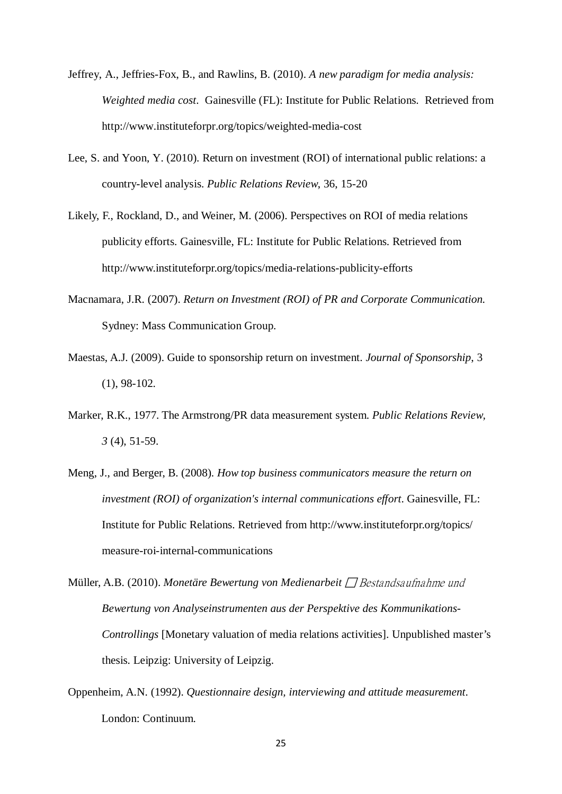- Jeffrey, A., Jeffries-Fox, B., and Rawlins, B. (2010). *A new paradigm for media analysis: Weighted media cost*. Gainesville (FL): Institute for Public Relations. Retrieved from http://www.instituteforpr.org/topics/weighted-media-cost
- Lee, S. and Yoon, Y. (2010). Return on investment (ROI) of international public relations: a country-level analysis. *Public Relations Review*, 36, 15-20
- Likely, F., Rockland, D., and Weiner, M. (2006). Perspectives on ROI of media relations publicity efforts. Gainesville, FL: Institute for Public Relations. Retrieved from http://www.instituteforpr.org/topics/media-relations-publicity-efforts
- Macnamara, J.R. (2007). *Return on Investment (ROI) of PR and Corporate Communication.* Sydney: Mass Communication Group.
- Maestas, A.J. (2009). Guide to sponsorship return on investment. *Journal of Sponsorship*, 3 (1), 98-102.
- Marker, R.K., 1977. The Armstrong/PR data measurement system. *Public Relations Review, 3* (4), 51-59.
- Meng, J., and Berger, B. (2008). *How top business communicators measure the return on investment (ROI) of organization's internal communications effort*. Gainesville, FL: Institute for Public Relations. Retrieved from http://www.instituteforpr.org/topics/ measure-roi-internal-communications
- Müller, A.B. (2010). *Monetäre Bewertung von Medienarbeit* □ Bestandsaufnahme und *Bewertung von Analyseinstrumenten aus der Perspektive des Kommunikations-Controllings* [Monetary valuation of media relations activities]. Unpublished master's thesis. Leipzig: University of Leipzig.
- Oppenheim, A.N. (1992). *Questionnaire design, interviewing and attitude measurement*. London: Continuum.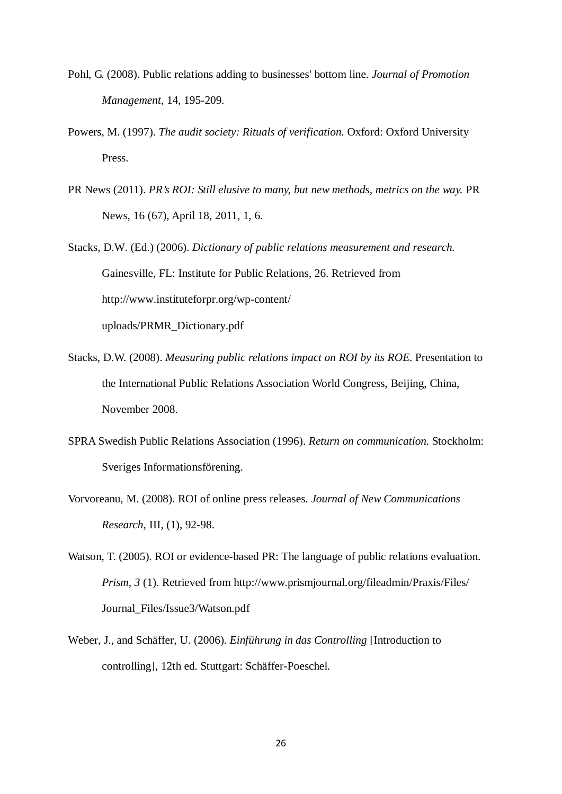- Pohl, G. (2008). Public relations adding to businesses' bottom line. *Journal of Promotion Management,* 14, 195-209.
- Powers, M. (1997). *The audit society: Rituals of verification.* Oxford: Oxford University Press.
- PR News (2011). *PR's ROI: Still elusive to many, but new methods, metrics on the way.* PR News, 16 (67), April 18, 2011, 1, 6.
- Stacks, D.W. (Ed.) (2006). *Dictionary of public relations measurement and research.* Gainesville, FL: Institute for Public Relations, 26. Retrieved from http://www.instituteforpr.org/wp-content/ uploads/PRMR\_Dictionary.pdf
- Stacks, D.W. (2008). *Measuring public relations impact on ROI by its ROE*. Presentation to the International Public Relations Association World Congress, Beijing, China, November 2008.
- SPRA Swedish Public Relations Association (1996). *Return on communication*. Stockholm: Sveriges Informationsförening.
- Vorvoreanu, M. (2008). ROI of online press releases. *Journal of New Communications Research*, III, (1), 92-98.
- Watson, T. (2005). ROI or evidence-based PR: The language of public relations evaluation. *Prism, 3* (1). Retrieved from http://www.prismjournal.org/fileadmin/Praxis/Files/ Journal\_Files/Issue3/Watson.pdf
- Weber, J., and Schäffer, U. (2006). *Einführung in das Controlling* [Introduction to controlling], 12th ed. Stuttgart: Schäffer-Poeschel.